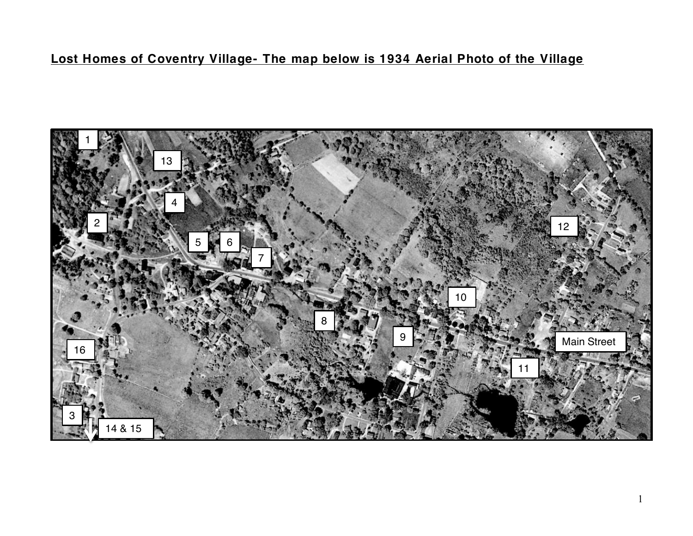## **Lost Homes of Coventry Village- The map below is 1934 Aerial Photo of the Village**

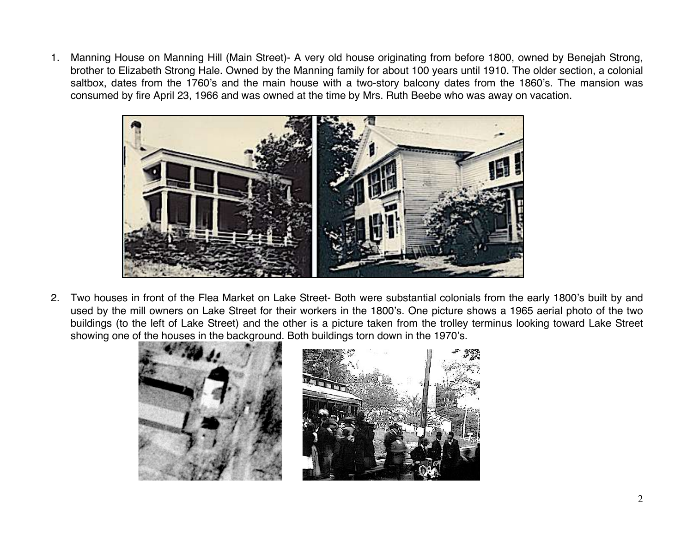1. Manning House on Manning Hill (Main Street)- A very old house originating from before 1800, owned by Benejah Strong, brother to Elizabeth Strong Hale. Owned by the Manning family for about 100 years until 1910. The older section, a colonial saltbox, dates from the 1760's and the main house with a two-story balcony dates from the 1860's. The mansion was consumed by fire April 23, 1966 and was owned at the time by Mrs. Ruth Beebe who was away on vacation.



2. Two houses in front of the Flea Market on Lake Street- Both were substantial colonials from the early 1800's built by and used by the mill owners on Lake Street for their workers in the 1800's. One picture shows a 1965 aerial photo of the two buildings (to the left of Lake Street) and the other is a picture taken from the trolley terminus looking toward Lake Street showing one of the houses in the background. Both buildings torn down in the 1970's.

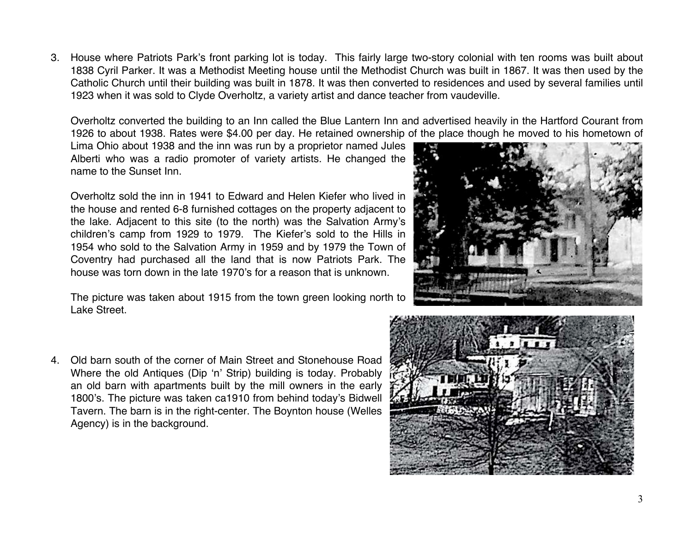3. House where Patriots Park's front parking lot is today. This fairly large two-story colonial with ten rooms was built about 1838 Cyril Parker. It was a Methodist Meeting house until the Methodist Church was built in 1867. It was then used by the Catholic Church until their building was built in 1878. It was then converted to residences and used by several families until 1923 when it was sold to Clyde Overholtz, a variety artist and dance teacher from vaudeville.

Overholtz converted the building to an Inn called the Blue Lantern Inn and advertised heavily in the Hartford Courant from 1926 to about 1938. Rates were \$4.00 per day. He retained ownership of the place though he moved to his hometown of

Lima Ohio about 1938 and the inn was run by a proprietor named Jules Alberti who was a radio promoter of variety artists. He changed the name to the Sunset Inn.

Overholtz sold the inn in 1941 to Edward and Helen Kiefer who lived in the house and rented 6-8 furnished cottages on the property adjacent to the lake. Adjacent to this site (to the north) was the Salvation Army's children's camp from 1929 to 1979. The Kiefer's sold to the Hills in 1954 who sold to the Salvation Army in 1959 and by 1979 the Town of Coventry had purchased all the land that is now Patriots Park. The house was torn down in the late 1970's for a reason that is unknown.

The picture was taken about 1915 from the town green looking north to Lake Street.

4. Old barn south of the corner of Main Street and Stonehouse Road Where the old Antiques (Dip 'n' Strip) building is today. Probably an old barn with apartments built by the mill owners in the early 1800's. The picture was taken ca1910 from behind today's Bidwell Tavern. The barn is in the right-center. The Boynton house (Welles Agency) is in the background.



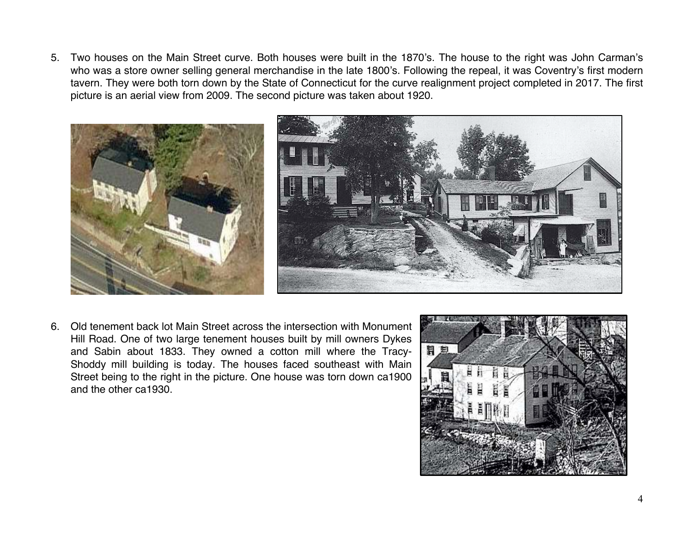5. Two houses on the Main Street curve. Both houses were built in the 1870's. The house to the right was John Carman's who was a store owner selling general merchandise in the late 1800's. Following the repeal, it was Coventry's first modern tavern. They were both torn down by the State of Connecticut for the curve realignment project completed in 2017. The first picture is an aerial view from 2009. The second picture was taken about 1920.



6. Old tenement back lot Main Street across the intersection with Monument Hill Road. One of two large tenement houses built by mill owners Dykes and Sabin about 1833. They owned a cotton mill where the Tracy-Shoddy mill building is today. The houses faced southeast with Main Street being to the right in the picture. One house was torn down ca1900 and the other ca1930.

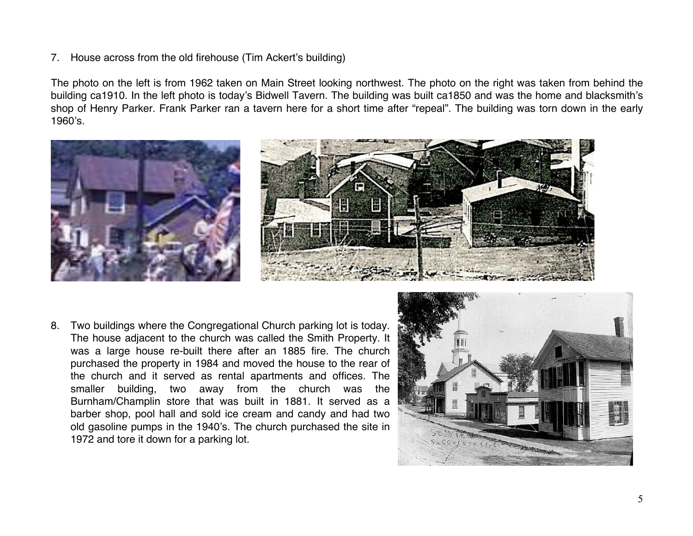## 7. House across from the old firehouse (Tim Ackert's building)

The photo on the left is from 1962 taken on Main Street looking northwest. The photo on the right was taken from behind the building ca1910. In the left photo is today's Bidwell Tavern. The building was built ca1850 and was the home and blacksmith's shop of Henry Parker. Frank Parker ran a tavern here for a short time after "repeal". The building was torn down in the early 1960's.



8. Two buildings where the Congregational Church parking lot is today. The house adjacent to the church was called the Smith Property. It was a large house re-built there after an 1885 fire. The church purchased the property in 1984 and moved the house to the rear of the church and it served as rental apartments and offices. The smaller building, two away from the church was the Burnham/Champlin store that was built in 1881. It served as a barber shop, pool hall and sold ice cream and candy and had two old gasoline pumps in the 1940's. The church purchased the site in 1972 and tore it down for a parking lot.

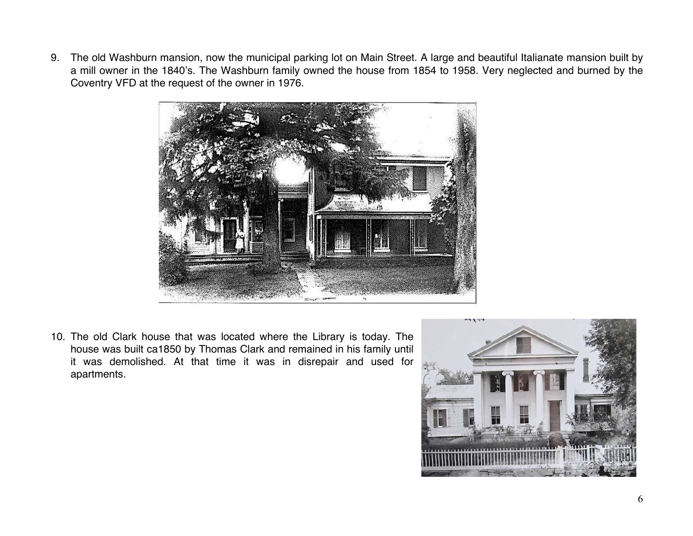9. The old Washburn mansion, now the municipal parking lot on Main Street. A large and beautiful Italianate mansion built by a mill owner in the 1840's. The Washburn family owned the house from 1854 to 1958. Very neglected and burned by the Coventry VFD at the request of the owner in 1976.



10. The old Clark house that was located where the Library is today. The house was built ca1850 by Thomas Clark and remained in his family until it was demolished. At that time it was in disrepair and used for apartments.

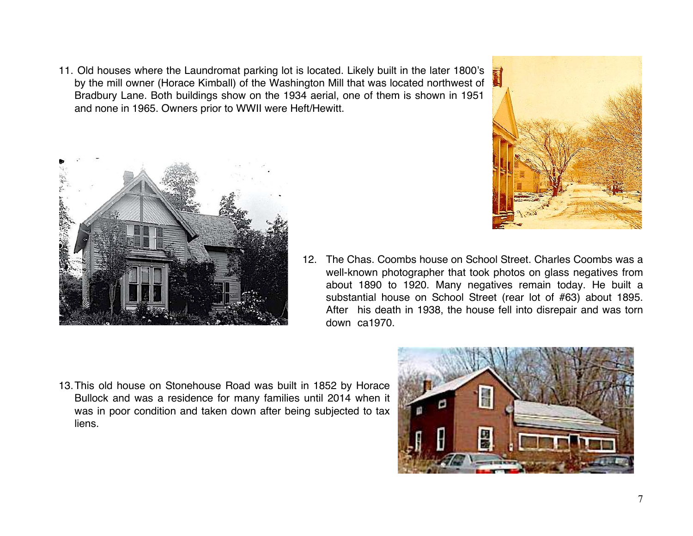11. Old houses where the Laundromat parking lot is located. Likely built in the later 1800's by the mill owner (Horace Kimball) of the Washington Mill that was located northwest of Bradbury Lane. Both buildings show on the 1934 aerial, one of them is shown in 1951 and none in 1965. Owners prior to WWII were Heft/Hewitt.





- 12. The Chas. Coombs house on School Street. Charles Coombs was a well-known photographer that took photos on glass negatives from about 1890 to 1920. Many negatives remain today. He built a substantial house on School Street (rear lot of #63) about 1895. After his death in 1938, the house fell into disrepair and was torn down ca1970.
- 13.This old house on Stonehouse Road was built in 1852 by Horace Bullock and was a residence for many families until 2014 when it was in poor condition and taken down after being subjected to tax liens.

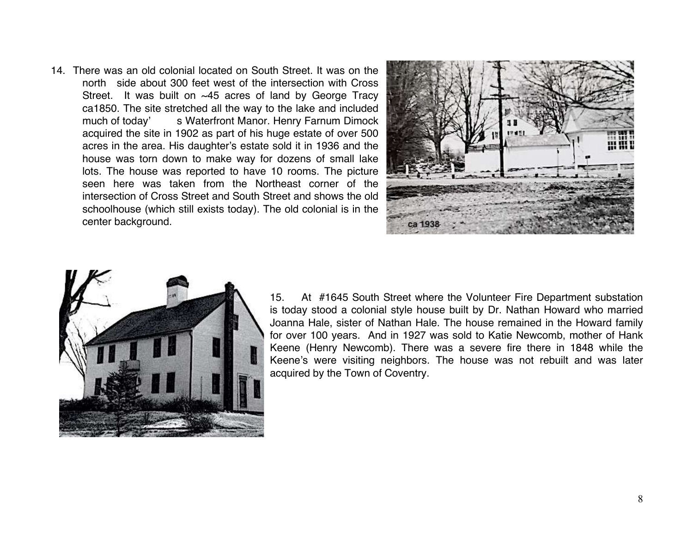14. There was an old colonial located on South Street. It was on the north side about 300 feet west of the intersection with Cross Street. It was built on ~45 acres of land by George Tracy ca1850. The site stretched all the way to the lake and included much of today' s Waterfront Manor. Henry Farnum Dimock acquired the site in 1902 as part of his huge estate of over 500 acres in the area. His daughter's estate sold it in 1936 and the house was torn down to make way for dozens of small lake lots. The house was reported to have 10 rooms. The picture seen here was taken from the Northeast corner of the intersection of Cross Street and South Street and shows the old schoolhouse (which still exists today). The old colonial is in the center background.





15. At #1645 South Street where the Volunteer Fire Department substation is today stood a colonial style house built by Dr. Nathan Howard who married Joanna Hale, sister of Nathan Hale. The house remained in the Howard family for over 100 years. And in 1927 was sold to Katie Newcomb, mother of Hank Keene (Henry Newcomb). There was a severe fire there in 1848 while the Keene's were visiting neighbors. The house was not rebuilt and was later acquired by the Town of Coventry.